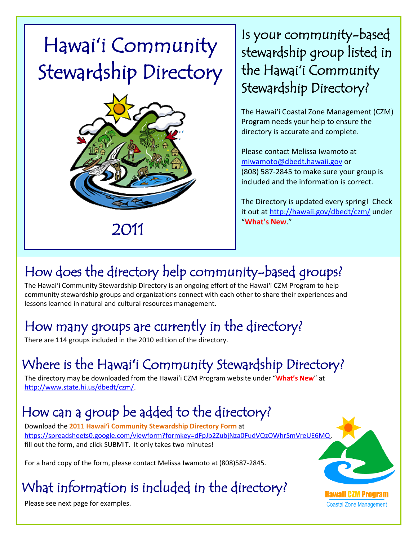# Hawai'i Community Stewardship Directory



# Is your community-based stewardship group listed in the Hawai'i Community Stewardship Directory?

The Hawai'i Coastal Zone Management (CZM) Program needs your help to ensure the directory is accurate and complete.

Please contact Melissa Iwamoto at [miwamoto@dbedt.hawaii.gov](mailto:miwamoto@dbedt.hawaii.gov) or (808) 587-2845 to make sure your group is included and the information is correct.

The Directory is updated every spring! Check it out at<http://hawaii.gov/dbedt/czm/> under "**What's New**."

# How does the directory help community-based groups?

The Hawai'i Community Stewardship Directory is an ongoing effort of the Hawai'i CZM Program to help community stewardship groups and organizations connect with each other to share their experiences and lessons learned in natural and cultural resources management.

# How many groups are currently in the directory?

There are 114 groups included in the 2010 edition of the directory.

# Where is the Hawai**'**i Community Stewardship Directory?

The directory may be downloaded from the Hawai'i CZM Program website under "**What's New**" at [http://www.state.hi.us/dbedt/czm/.](http://www.state.hi.us/dbedt/czm/)

# How can a group be added to the directory?

Download the **2011 Hawai'i Community Stewardship Directory Form** at [https://spreadsheets0.google.com/viewform?formkey=dFpJb2ZubjNza0FudVQzOWhrSmVreUE6MQ,](https://spreadsheets0.google.com/viewform?formkey=dFpJb2ZubjNza0FudVQzOWhrSmVreUE6MQ) fill out the form, and click SUBMIT. It only takes two minutes!

For a hard copy of the form, please contact Melissa Iwamoto at (808)587-2845.

# What information is included in the directory?



**Coastal Zone Management** 

Please see next page for examples.